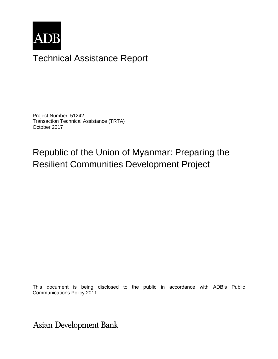

# Technical Assistance Report

Project Number: 51242 Transaction Technical Assistance (TRTA) October 2017

# Republic of the Union of Myanmar: Preparing the Resilient Communities Development Project

This document is being disclosed to the public in accordance with ADB's Public Communications Policy 2011.

**Asian Development Bank**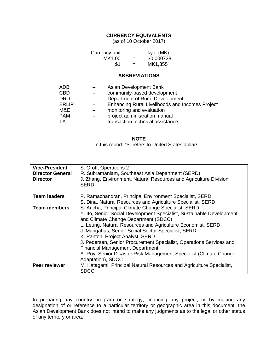### **CURRENCY EQUIVALENTS**

(as of 10 October 2017)

| Currency unit | -   | kyat (MK)  |
|---------------|-----|------------|
| MK1.00        | $=$ | \$0.000738 |
| \$1           | $=$ | MK1,355    |

#### **ABBREVIATIONS**

| <b>ADB</b>   | Asian Development Bank                                 |
|--------------|--------------------------------------------------------|
| <b>CBD</b>   | community-based development                            |
| <b>DRD</b>   | Department of Rural Development                        |
| <b>ERLIP</b> | <b>Enhancing Rural Livelihoods and Incomes Project</b> |
| M&E          | monitoring and evaluation                              |
| <b>PAM</b>   | project administration manual                          |
| TA           | transaction technical assistance                       |

#### **NOTE**

In this report, "\$" refers to United States dollars.

| <b>Vice-President</b><br><b>Director General</b><br><b>Director</b> | S. Groff, Operations 2<br>R. Subramaniam, Southeast Asia Department (SERD)<br>J. Zhang, Environment, Natural Resources and Agriculture Division,<br><b>SERD</b>                                                                                                                                                                                                                                                                                                                                                                           |
|---------------------------------------------------------------------|-------------------------------------------------------------------------------------------------------------------------------------------------------------------------------------------------------------------------------------------------------------------------------------------------------------------------------------------------------------------------------------------------------------------------------------------------------------------------------------------------------------------------------------------|
| <b>Team leaders</b>                                                 | P. Ramachandran, Principal Environment Specialist, SERD<br>S. Dina, Natural Resources and Agriculture Specialist, SERD                                                                                                                                                                                                                                                                                                                                                                                                                    |
| <b>Team members</b>                                                 | S. Ancha, Principal Climate Change Specialist, SERD<br>Y. Ito, Senior Social Development Specialist, Sustainable Development<br>and Climate Change Department (SDCC)<br>L. Leung, Natural Resources and Agriculture Economist, SERD<br>J. Mangahas, Senior Social Sector Specialist, SERD<br>K. Panton, Project Analyst, SERD<br>J. Pedersen, Senior Procurement Specialist, Operations Services and<br><b>Financial Management Department</b><br>A. Roy, Senior Disaster Risk Management Specialist (Climate Change<br>Adaptation), SDCC |
| Peer reviewer                                                       | M. Katagami, Principal Natural Resources and Agriculture Specialist,<br><b>SDCC</b>                                                                                                                                                                                                                                                                                                                                                                                                                                                       |

In preparing any country program or strategy, financing any project, or by making any designation of or reference to a particular territory or geographic area in this document, the Asian Development Bank does not intend to make any judgments as to the legal or other status of any territory or area.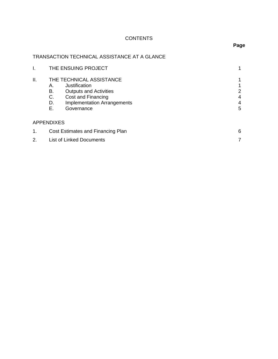# **CONTENTS**

# TRANSACTION TECHNICAL ASSISTANCE AT A GLANCE

| I. | THE ENSUING PROJECT                                                                                                                                                                |             |
|----|------------------------------------------------------------------------------------------------------------------------------------------------------------------------------------|-------------|
| Ш. | THE TECHNICAL ASSISTANCE<br>Justification<br>А.<br>В.<br><b>Outputs and Activities</b><br>C.<br>Cost and Financing<br><b>Implementation Arrangements</b><br>D.<br>Е.<br>Governance | 2<br>4<br>5 |
|    | <b>APPENDIXES</b>                                                                                                                                                                  |             |
| 1. | Cost Estimates and Financing Plan                                                                                                                                                  | 6           |
| 2. | <b>List of Linked Documents</b>                                                                                                                                                    |             |

### **Page**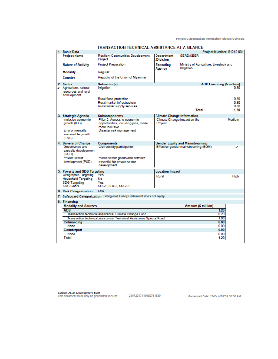Project Classification Information Status: Complete

|                                                                                                                                              | IRANSACTION TECHNICAL ASSISTANCE AT A GLANCE                                          |                                       |                                        |                                        |              |
|----------------------------------------------------------------------------------------------------------------------------------------------|---------------------------------------------------------------------------------------|---------------------------------------|----------------------------------------|----------------------------------------|--------------|
| 1. Basic Data                                                                                                                                |                                                                                       |                                       |                                        | Project Number: 51242-001              |              |
| <b>Project Name</b>                                                                                                                          | <b>Resilient Communities Development</b><br>Project                                   | <b>Department</b><br><b>/Division</b> | <b>SERD/SEER</b>                       |                                        |              |
| <b>Nature of Activity</b>                                                                                                                    | <b>Project Preparation</b>                                                            | Executing<br>Agency                   | Irrigation                             | Ministry of Agriculture, Livestock and |              |
| Modality                                                                                                                                     | Regular                                                                               |                                       |                                        |                                        |              |
| Country                                                                                                                                      | Republic of the Union of Myanmar                                                      |                                       |                                        |                                        |              |
| 2. Sector                                                                                                                                    | Subsector(s)                                                                          |                                       |                                        | ADB Financing (\$ million)             |              |
| ✔ Agriculture, natural<br>resources and rural<br>development                                                                                 | Irrigation                                                                            |                                       |                                        |                                        | 0.30         |
|                                                                                                                                              | Rural flood protection                                                                |                                       |                                        |                                        | 0.30         |
|                                                                                                                                              | Rural market infrastructure                                                           |                                       |                                        |                                        | 0.30         |
|                                                                                                                                              | Rural water supply services                                                           |                                       | Total                                  |                                        | 0.30<br>1.20 |
|                                                                                                                                              |                                                                                       |                                       |                                        |                                        |              |
| 3. Strategic Agenda                                                                                                                          | <b>Subcomponents</b>                                                                  |                                       | <b>Climate Change Information</b>      |                                        |              |
| Inclusive economic<br>growth (IEG)                                                                                                           | Pillar 2: Access to economic<br>opportunities, including jobs, made<br>more inclusive | Project                               | Climate Change impact on the           |                                        | Medium       |
| <b>Environmentally</b><br>sustainable growth<br>(ESG)                                                                                        | Disaster risk management                                                              |                                       |                                        |                                        |              |
| 4. Drivers of Change                                                                                                                         | <b>Components</b>                                                                     |                                       | <b>Gender Equity and Mainstreaming</b> |                                        |              |
| Governance and<br>capacity development<br>(GCD)<br>Private sector                                                                            | Civil society participation<br>Public sector goods and services                       |                                       | Effective gender mainstreaming (EGM)   |                                        | ◢            |
| development (PSD)                                                                                                                            | essential for private sector<br>development                                           |                                       |                                        |                                        |              |
| 5. Poverty and SDG Targeting                                                                                                                 |                                                                                       | <b>Location Impact</b>                |                                        |                                        |              |
| Geographic Targeting                                                                                                                         | Yes                                                                                   | Rural                                 |                                        |                                        | High         |
| <b>Household Targeting</b>                                                                                                                   | <b>No</b>                                                                             |                                       |                                        |                                        |              |
| <b>SDG Targeting</b><br><b>SDG Goals</b>                                                                                                     | Yes<br>SDG1, SDG2, SDG13                                                              |                                       |                                        |                                        |              |
| 6. Risk Categorization                                                                                                                       | Low                                                                                   |                                       |                                        |                                        |              |
|                                                                                                                                              | 7. Safeguard Categorization Safeguard Policy Statement does not apply                 |                                       |                                        |                                        |              |
| 8. Financing                                                                                                                                 |                                                                                       |                                       |                                        |                                        |              |
| <b>Modality and Sources</b>                                                                                                                  |                                                                                       |                                       | <b>Amount (\$ million)</b>             |                                        |              |
| <b>ADB</b>                                                                                                                                   |                                                                                       |                                       |                                        | 1.20                                   |              |
| 0.20<br>Transaction technical assistance: Climate Change Fund<br>1.00<br>Transaction technical assistance: Technical Assistance Special Fund |                                                                                       |                                       |                                        |                                        |              |
| Cofinancing                                                                                                                                  |                                                                                       |                                       |                                        | 0.00                                   |              |
| None                                                                                                                                         |                                                                                       |                                       |                                        | 0.00                                   |              |
| Counterpart                                                                                                                                  |                                                                                       |                                       |                                        | 0.00                                   |              |
| None                                                                                                                                         |                                                                                       |                                       |                                        | 0.00                                   |              |
| <b>Total</b>                                                                                                                                 |                                                                                       |                                       |                                        | 1.20                                   |              |
|                                                                                                                                              |                                                                                       |                                       |                                        |                                        |              |
|                                                                                                                                              |                                                                                       |                                       |                                        |                                        |              |

TRANSACTION TECHNICAL ASSISTANCE AT A CLANCE.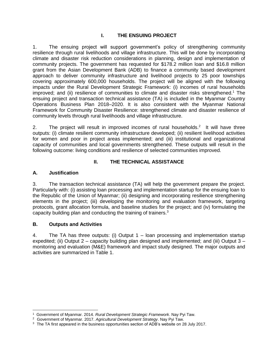#### **I. THE ENSUING PROJECT**

1. The ensuing project will support government's policy of strengthening community resilience through rural livelihoods and village infrastructure. This will be done by incorporating climate and disaster risk reduction considerations in planning, design and implementation of community projects. The government has requested for \$178.2 million loan and \$16.8 million grant from the Asian Development Bank (ADB) to finance a community based development approach to deliver community infrastructure and livelihood projects to 25 poor townships covering approximately 600,000 households. The project will be aligned with the following impacts under the Rural Development Strategic Framework: (i) incomes of rural households improved; and (ii) resilience of communities to climate and disaster risks strengthened.<sup>1</sup> The ensuing project and transaction technical assistance (TA) is included in the Myanmar Country Operations Business Plan 2018–2020. It is also consistent with the Myanmar National Framework for Community Disaster Resilience: strengthened climate and disaster resilience of community levels through rural livelihoods and village infrastructure.

2. The project will result in improved incomes of rural households.<sup>2</sup> It will have three outputs: (i) climate resilient community infrastructure developed; (ii) resilient livelihood activities for women and poor in project areas implemented; and (iii) institutional and organizational capacity of communities and local governments strengthened. These outputs will result in the following outcome: living conditions and resilience of selected communities improved.

#### **II. THE TECHNICAL ASSISTANCE**

#### **A. Justification**

3. The transaction technical assistance (TA) will help the government prepare the project. Particularly with: (i) assisting loan processing and implementation startup for the ensuing loan to the Republic of the Union of Myanmar; (ii) designing and incorporating resilience strengthening elements in the project; (iii) developing the monitoring and evaluation framework, targeting protocols, grant allocation formula, and baseline studies for the project; and (iv) formulating the capacity building plan and conducting the training of trainers.<sup>3</sup>

#### **B. Outputs and Activities**

4. The TA has three outputs: (i) Output 1 – loan processing and implementation startup expedited; (ii) Output 2 – capacity building plan designed and implemented; and (iii) Output 3 – monitoring and evaluation (M&E) framework and impact study designed. The major outputs and activities are summarized in Table 1.

<sup>1</sup> Government of Myanmar. 2014. *Rural Development Strategic Framework*. Nay Pyi Taw.

<sup>2</sup> Government of Myanmar. 2017. *Agricultural Development Strategy*. Nay Pyi Taw.

<sup>&</sup>lt;sup>3</sup> The TA first appeared in the business opportunities section of ADB's website on 28 July 2017.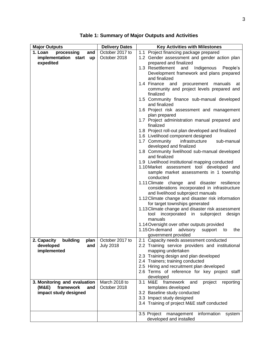| <b>Major Outputs</b>            | <b>Delivery Dates</b> | <b>Key Activities with Milestones</b>                                                     |  |  |
|---------------------------------|-----------------------|-------------------------------------------------------------------------------------------|--|--|
| 1. Loan<br>processing<br>and    | October 2017 to       | 1.1 Project financing package prepared                                                    |  |  |
| implementation start up         | October 2018          | 1.2 Gender assessment and gender action plan                                              |  |  |
| expedited                       |                       | prepared and finalized                                                                    |  |  |
|                                 |                       | 1.3 Resettlement<br>Indigenous<br>and<br>People's                                         |  |  |
|                                 |                       | Development framework and plans prepared<br>and finalized                                 |  |  |
|                                 |                       | 1.4 Finance and<br>procurement manuals at                                                 |  |  |
|                                 |                       | community and project levels prepared and                                                 |  |  |
|                                 |                       | finalized                                                                                 |  |  |
|                                 |                       | 1.5 Community finance sub-manual developed                                                |  |  |
|                                 |                       | and finalized                                                                             |  |  |
|                                 |                       | 1.6 Project risk assessment and management                                                |  |  |
|                                 |                       | plan prepared                                                                             |  |  |
|                                 |                       | 1.7 Project administration manual prepared and<br>finalized                               |  |  |
|                                 |                       | 1.8 Project roll-out plan developed and finalized                                         |  |  |
|                                 |                       | 1.6 Livelihood component designed                                                         |  |  |
|                                 |                       | 1.7 Community<br>infrastructure<br>sub-manual                                             |  |  |
|                                 |                       | developed and finalized<br>1.8 Community livelihood sub-manual developed                  |  |  |
|                                 |                       | and finalized                                                                             |  |  |
|                                 |                       | 1.9 Livelihood institutional mapping conducted                                            |  |  |
|                                 |                       | 1.10 Market assessment tool developed and                                                 |  |  |
|                                 |                       | sample market assessments in 1 township                                                   |  |  |
|                                 |                       | conducted                                                                                 |  |  |
|                                 |                       | 1.11 Climate change and disaster resilience                                               |  |  |
|                                 |                       | considerations incorporated in infrastructure<br>and livelihood subproject manuals        |  |  |
|                                 |                       | 1.12 Climate change and disaster risk information                                         |  |  |
|                                 |                       | for target townships generated                                                            |  |  |
|                                 |                       | 1.13 Climate change and disaster risk assessment                                          |  |  |
|                                 |                       | tool incorporated in subproject design                                                    |  |  |
|                                 |                       | manuals                                                                                   |  |  |
|                                 |                       | 1.14 Oversight over other outputs provided<br>1.15 On-demand                              |  |  |
|                                 |                       | advisory support to<br>the<br>government provided                                         |  |  |
| building<br>2. Capacity<br>plan | October 2017 to       | 2.1 Capacity needs assessment conducted                                                   |  |  |
| developed                       | and $\vert$ July 2018 | 2.2 Training service providers and institutional                                          |  |  |
| implemented                     |                       | mapping undertaken                                                                        |  |  |
|                                 |                       | 2.3 Training design and plan developed                                                    |  |  |
|                                 |                       | 2.4 Trainers; training conducted                                                          |  |  |
|                                 |                       | 2.5 Hiring and recruitment plan developed<br>2.6 Terms of reference for key project staff |  |  |
|                                 |                       | developed                                                                                 |  |  |
| 3. Monitoring and evaluation    | March 2018 to         | 3.1 M&E framework<br>and<br>project<br>reporting                                          |  |  |
| framework<br>(M&E)<br>and       | October 2018          | templates developed                                                                       |  |  |
| impact study designed           |                       | 3.2 Baseline study conducted                                                              |  |  |
|                                 |                       | 3.3 Impact study designed                                                                 |  |  |
|                                 |                       | 3.4 Training of project M&E staff conducted                                               |  |  |
|                                 |                       | 3.5 Project management information<br>system                                              |  |  |
|                                 |                       | developed and installed                                                                   |  |  |

**Table 1: Summary of Major Outputs and Activities**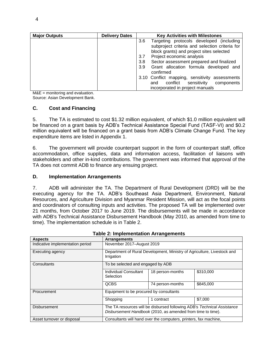| <b>Major Outputs</b> | <b>Delivery Dates</b> | <b>Key Activities with Milestones</b>           |  |  |
|----------------------|-----------------------|-------------------------------------------------|--|--|
|                      |                       | Targeting protocols developed (including<br>3.6 |  |  |
|                      |                       | subproject criteria and selection criteria for  |  |  |
|                      |                       | block grants) and project sites selected        |  |  |
|                      |                       | Project economic analysis<br>3.7                |  |  |
|                      |                       | Sector assessment prepared and finalized<br>3.8 |  |  |
|                      |                       | Grant allocation formula developed and<br>3.9   |  |  |
|                      |                       | confirmed                                       |  |  |
|                      |                       | 3.10 Conflict mapping, sensitivity assessments  |  |  |
|                      |                       | conflict sensitivity<br>components<br>and       |  |  |
|                      |                       | incorporated in project manuals                 |  |  |

M&E = monitoring and evaluation. Source: Asian Development Bank.

#### **C. Cost and Financing**

5. The TA is estimated to cost \$1.32 million equivalent, of which \$1.0 million equivalent will be financed on a grant basis by ADB's Technical Assistance Special Fund (TASF-VI) and \$0.2 million equivalent will be financed on a grant basis from ADB's Climate Change Fund. The key expenditure items are listed in Appendix 1.

6. The government will provide counterpart support in the form of counterpart staff, office accommodation, office supplies, data and information access, facilitation of liaisons with stakeholders and other in-kind contributions. The government was informed that approval of the TA does not commit ADB to finance any ensuing project.

#### **D. Implementation Arrangements**

7. ADB will administer the TA. The Department of Rural Development (DRD) will be the executing agency for the TA. ADB's Southeast Asia Department, Environment, Natural Resources, and Agriculture Division and Myanmar Resident Mission, will act as the focal points and coordinators of consulting inputs and activities. The proposed TA will be implemented over 21 months, from October 2017 to June 2019. The disbursements will be made in accordance with ADB's Technical Assistance Disbursement Handbook (May 2010, as amended from time to time). The implementation schedule is in Table 2.

| rable 2. implementation Arrangements |                                                                                                                                        |                                                                         |           |  |  |
|--------------------------------------|----------------------------------------------------------------------------------------------------------------------------------------|-------------------------------------------------------------------------|-----------|--|--|
| <b>Aspects</b>                       | <b>Arrangements</b>                                                                                                                    |                                                                         |           |  |  |
| Indicative implementation period     |                                                                                                                                        | November 2017-August 2019                                               |           |  |  |
| Executing agency                     | Irrigation                                                                                                                             | Department of Rural Development, Ministry of Agriculture, Livestock and |           |  |  |
| Consultants                          |                                                                                                                                        | To be selected and engaged by ADB                                       |           |  |  |
|                                      | Individual Consultant<br>Selection                                                                                                     | 18 person-months                                                        | \$310,000 |  |  |
|                                      | <b>QCBS</b>                                                                                                                            | 74 person-months                                                        | \$845,000 |  |  |
| Procurement                          |                                                                                                                                        | Equipment to be procured by consultants                                 |           |  |  |
|                                      | Shopping                                                                                                                               | 1 contract                                                              | \$7.000   |  |  |
| <b>Disbursement</b>                  | The TA resources will be disbursed following ADB's Technical Assistance<br>Disbursement Handbook (2010, as amended from time to time). |                                                                         |           |  |  |
| Asset turnover or disposal           | Consultants will hand over the computers, printers, fax machine,                                                                       |                                                                         |           |  |  |

#### **Table 2: Implementation Arrangements**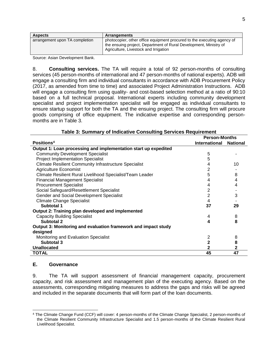| <b>Aspects</b>                 | <b>Arrangements</b>                                                                                                                                                                   |
|--------------------------------|---------------------------------------------------------------------------------------------------------------------------------------------------------------------------------------|
| arrangement upon TA completion | photocopier, other office equipment procured to the executing agency of<br>the ensuing project, Department of Rural Development, Ministry of<br>Agriculture, Livestock and Irrigation |

Source: Asian Development Bank.

8. **Consulting services.** The TA will require a total of 92 person-months of consulting services (45 person-months of international and 47 person-months of national experts). ADB will engage a consulting firm and individual consultants in accordance with ADB Procurement Policy (2017, as amended from time to time) and associated Project Administration Instructions. ADB will engage a consulting firm using quality- and cost-based selection method at a ratio of 90:10 based on a full technical proposal. International experts including community development specialist and project implementation specialist will be engaged as individual consultants to ensure startup support for both the TA and the ensuing project. The consulting firm will procure goods comprising of office equipment. The indicative expertise and corresponding personmonths are in Table 3.

|                                                                 | <b>Person-Months</b> |                 |
|-----------------------------------------------------------------|----------------------|-----------------|
| Positions <sup>4</sup>                                          | International        | <b>National</b> |
| Output 1: Loan processing and implementation start up expedited |                      |                 |
| <b>Community Development Specialist</b>                         | 5                    |                 |
| <b>Project Implementation Specialist</b>                        | 5                    |                 |
| <b>Climate Resilient Community Infrastructure Specialist</b>    | 4                    | 10              |
| <b>Agriculture Economist</b>                                    | $\overline{2}$       |                 |
| Climate Resilient Rural Livelihood Specialist/Team Leader       | 5                    | 8               |
| <b>Financial Management Specialist</b>                          | 4                    | 4               |
| <b>Procurement Specialist</b>                                   | 4                    | 4               |
| Social Safeguard/Resettlement Specialist                        | 2                    |                 |
| Gender and Social Development Specialist                        | 2                    | 3               |
| <b>Climate Change Specialist</b>                                | 4                    |                 |
| Subtotal 1                                                      | 37                   | 29              |
| Output 2: Training plan developed and implemented               |                      |                 |
| <b>Capacity Building Specialist</b>                             | 4                    | 8               |
| Subtotal 2                                                      | 4                    | 8               |
| Output 3: Monitoring and evaluation framework and impact study  |                      |                 |
| designed                                                        |                      |                 |
| Monitoring and Evaluation Specialist                            | 2                    | 8               |
| Subtotal 3                                                      | $\mathbf{2}$         | 8               |
| <b>Unallocated</b>                                              | $\mathbf{2}$         | $\mathbf{2}$    |
| <b>TOTAL</b>                                                    | 45                   | 47              |

#### **Table 3: Summary of Indicative Consulting Services Requirement**

#### **E. Governance**

9. The TA will support assessment of financial management capacity, procurement capacity, and risk assessment and management plan of the executing agency. Based on the assessments, corresponding mitigating measures to address the gaps and risks will be agreed and included in the separate documents that will form part of the loan documents.

 <sup>4</sup> The Climate Change Fund (CCF) will cover: 4 person-months of the Climate Change Specialist, 2 person-months of the Climate Resilient Community Infrastructure Specialist and 1.5 person-months of the Climate Resilient Rural Livelihood Specialist.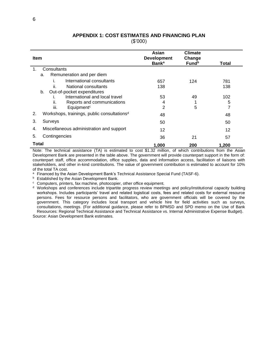# **APPENDIX 1: COST ESTIMATES AND FINANCING PLAN**

(\$'000)

| <b>Item</b>                                                   | Asian<br><b>Development</b><br><b>Bank</b> <sup>a</sup> | <b>Climate</b><br>Change<br><b>Fund</b> <sup>b</sup> | Total |
|---------------------------------------------------------------|---------------------------------------------------------|------------------------------------------------------|-------|
| Consultants<br>1.                                             |                                                         |                                                      |       |
| Remuneration and per diem<br>a.                               |                                                         |                                                      |       |
| International consultants                                     | 657                                                     | 124                                                  | 781   |
| ii.<br>National consultants                                   | 138                                                     |                                                      | 138   |
| Out-of-pocket expenditures<br>b.                              |                                                         |                                                      |       |
| International and local travel<br>ı.                          | 53                                                      | 49                                                   | 102   |
| ii.<br>Reports and communications                             | 4                                                       |                                                      | 5     |
| Equipment <sup>c</sup><br>iii.                                | 2                                                       | 5                                                    | 7     |
| Workshops, trainings, public consultations <sup>d</sup><br>2. | 48                                                      |                                                      | 48    |
| 3.<br>Surveys                                                 | 50                                                      |                                                      | 50    |
| Miscellaneous administration and support<br>4.                | 12                                                      |                                                      | 12    |
| Contingencies<br>5.                                           | 36                                                      | 21                                                   | 57    |
| Total                                                         | 1,000                                                   | 200                                                  | 1,200 |

Note: The technical assistance (TA) is estimated to cost \$1.32 million, of which contributions from the Asian Development Bank are presented in the table above. The government will provide counterpart support in the form of: counterpart staff, office accommodation, office supplies, data and information access, facilitation of liaisons with stakeholders, and other in-kind contributions. The value of government contribution is estimated to account for 10% of the total TA cost.

a Financed by the Asian Development Bank's Technical Assistance Special Fund (TASF-6).

**b** Established by the Asian Development Bank.

<sup>c</sup> Computers, printers, fax machine, photocopier, other office equipment.

<sup>d</sup> Workshops and conferences include tripartite progress review meetings and policy/institutional capacity building workshops. Includes participants' travel and related logistical costs, fees and related costs for external resource persons. Fees for resource persons and facilitators, who are government officials will be covered by the government. This category includes local transport and vehicle hire for field activities such as surveys, consultations, meetings. (For additional guidance, please refer to BPMSD and SPD memo on the Use of Bank Resources: Regional Technical Assistance and Technical Assistance vs. Internal Administrative Expense Budget).

Source: Asian Development Bank estimates.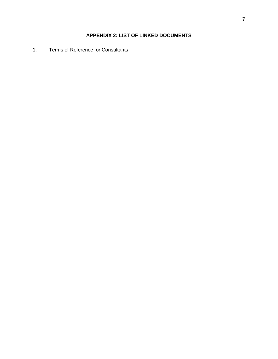## **APPENDIX 2: LIST OF LINKED DOCUMENTS**

1. Terms of Reference for Consultants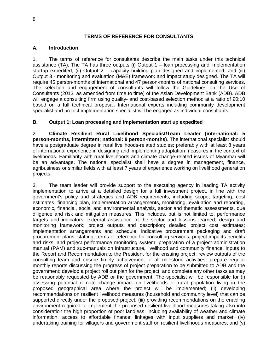#### **TERMS OF REFERENCE FOR CONSULTANTS**

#### **A. Introduction**

1. The terms of reference for consultants describe the main tasks under this technical assistance (TA). The TA has three outputs (i) Output 1 – loan processing and implementation startup expedited; (ii) Output 2 – capacity building plan designed and implemented; and (iii) Output 3 - monitoring and evaluation (M&E) framework and impact study designed. The TA will require 45 person-months of international and 47 person-months of national consulting services. The selection and engagement of consultants will follow the Guidelines on the Use of Consultants (2013, as amended from time to time) of the Asian Development Bank (ADB). ADB will engage a consulting firm using quality- and cost-based selection method at a ratio of 90:10 based on a full technical proposal. International experts including community development specialist and project implementation specialist will be engaged as individual consultants.

#### **B. Output 1: Loan processing and implementation start up expedited**

2. **Climate Resilient Rural Livelihood Specialist/Team Leader (international: 5 person-months, intermittent; national: 8 person-months)**. The international specialist should have a postgraduate degree in rural livelihoods-related studies; preferably with at least 8 years of international experience in designing and implementing adaptation measures in the context of livelihoods. Familiarity with rural livelihoods and climate change-related issues of Myanmar will be an advantage. The national specialist shall have a degree in management, finance, agribusiness or similar fields with at least 7 years of experience working on livelihood generation projects.

3. The team leader will provide support to the executing agency in leading TA activity implementation to arrive at a detailed design for a full investment project, in line with the government's policy and strategies and ADB requirements, including scope, targeting, cost estimates, financing plan, implementation arrangements, monitoring, evaluation and reporting, economic, financial, social and environmental analysis, sector and thematic assessments, due diligence and risk and mitigation measures. This includes, but is not limited to, performance targets and indicators; external assistance to the sector and lessons learned; design and monitoring framework; project outputs and description; detailed project cost estimates; implementation arrangements and schedule; indicative procurement packaging and draft procurement plans; staffing; terms of reference for consulting services; project impacts benefits and risks; and project performance monitoring system; preparation of a project administration manual (PAM) and sub-manuals on infrastructure, livelihood and community finance; inputs to the Report and Recommendation to the President for the ensuing project; review outputs of the consulting team and ensure timely achievement of all milestone activities; prepare regular monthly reports discussing the progress of project preparation to be submitted to ADB and the government; develop a project roll out plan for the project; and complete any other tasks as may be reasonably requested by ADB or the government. The specialist will be responsible for (i) assessing potential climate change impact on livelihoods of rural population living in the proposed geographical area where the project will be implemented; (ii) developing recommendations on resilient livelihood measures (household and community level) that can be supported directly under the proposed project; (iii) providing recommendations on the enabling environment required to implement the proposed resilient livelihood measures taking also into consideration the high proportion of poor landless, including availability of weather and climate information; access to affordable finance; linkages with input suppliers and market; (iv) undertaking training for villagers and government staff on resilient livelihoods measures; and (v)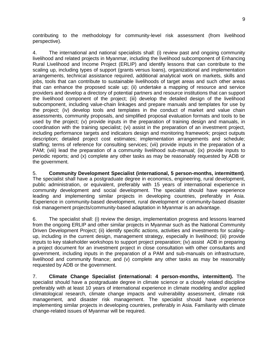contributing to the methodology for community-level risk assessment (from livelihood perspective).

4. The international and national specialists shall: (i) review past and ongoing community livelihood and related projects in Myanmar, including the livelihood subcomponent of Enhancing Rural Livelihood and Income Project (ERLIP) and identify lessons that can contribute to the scaling up, including types of support (grants versus loans), organizational and implementation arrangements, technical assistance required, additional analytical work on markets, skills and jobs, tools that can contribute to sustainable livelihoods of target areas and such other areas that can enhance the proposed scale up; (ii) undertake a mapping of resource and service providers and develop a directory of potential partners and resource institutions that can support the livelihood component of the project; (iii) develop the detailed design of the livelihood subcomponent, including value-chain linkages and prepare manuals and templates for use by the project; (iv) develop tools and templates in the conduct of market and value chain assessments, community proposals, and simplified proposal evaluation formats and tools to be used by the project; (v) provide inputs in the preparation of training design and manuals, in coordination with the training specialist; (vi) assist in the preparation of an investment project, including performance targets and indicators design and monitoring framework; project outputs description; detailed project cost estimates; implementation arrangements and schedule; staffing; terms of reference for consulting services; (vii) provide inputs in the preparation of a PAM; (viii) lead the preparation of a community livelihood sub-manual; (ix) provide inputs to periodic reports; and (x) complete any other tasks as may be reasonably requested by ADB or the government.

5. **Community Development Specialist (international, 5 person-months, intermittent)**. The specialist shall have a postgraduate degree in economics, engineering, rural development, public administration, or equivalent, preferably with 15 years of international experience in community development and social development. The specialist should have experience leading and implementing similar projects in developing countries, preferably in Asia. Experience in community-based development, rural development or community-based disaster risk management projects/community-based adaptation in Myanmar is an advantage.

6. The specialist shall: (i) review the design, implementation progress and lessons learned from the ongoing ERLIP and other similar projects in Myanmar such as the National Community Driven Development Project; (ii) identify specific actions, activities and investments for scalingup, including in the current design, management strategy, especially in livelihood; (iii) provide inputs to key stakeholder workshops to support project preparation; (iv) assist ADB in preparing a project document for an investment project in close consultation with other consultants and government, including inputs in the preparation of a PAM and sub-manuals on infrastructure, livelihood and community finance; and (v) complete any other tasks as may be reasonably requested by ADB or the government.

7. **Climate Change Specialist (international: 4 person-months, intermittent).** The specialist should have a postgraduate degree in climate science or a closely related discipline preferably with at least 10 years of international experience in climate modeling and/or applied climatological research, climate change impacts and vulnerability assessment, climate risk management, and disaster risk management. The specialist should have experience implementing similar projects in developing countries, preferably in Asia. Familiarity with climate change-related issues of Myanmar will be required.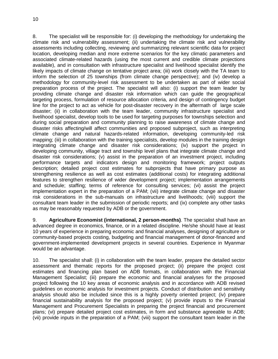8. The specialist will be responsible for: (i) developing the methodology for undertaking the climate risk and vulnerability assessment; (ii) undertaking the climate risk and vulnerability assessments including collecting, reviewing and summarizing relevant scientific data for project location, developing median and more extreme scenarios for the key climatic parameters and associated climate-related hazards (using the most current and credible climate projections available), and in consultation with infrastructure specialist and livelihood specialist identify the likely impacts of climate change on tentative project area; (iii) work closely with the TA team to inform the selection of 25 townships (from climate change perspective); and (iv) develop a methodology for community-level risk assessment to be undertaken as part of wider social preparation process of the project. The specialist will also: (i) support the team leader by providing climate change and disaster risk information which can guide the geographical targeting process, formulation of resource allocation criteria, and design of contingency budget line for the project to act as vehicle for post-disaster recovery in the aftermath of large scale disaster; (ii) in collaboration with the team leader, community infrastructure specialist and livelihood specialist, develop tools to be used for targeting purposes for townships selection and during social preparation and community planning to raise awareness of climate change and disaster risks affecting/will affect communities and proposed subproject, such as interpreting climate change and natural hazards-related information, developing community-led risk mapping; (iii) in collaboration with the training specialists, develop modules in the training design integrating climate change and disaster risk considerations; (iv) support the project in developing community, village tract and township level plans that integrate climate change and disaster risk considerations; (v) assist in the preparation of an investment project, including performance targets and indicators design and monitoring framework; project outputs description; detailed project cost estimates for subprojects that have primary purpose as strengthening resilience as well as cost estimates (additional costs) for integrating additional features to strengthen resilience of wider development project; implementation arrangements and schedule; staffing; terms of reference for consulting services; (vi) assist the project implementation expert in the preparation of a PAM; (vii) integrate climate change and disaster risk considerations in the sub-manuals on infrastructure and livelihoods; (viii) support the consultant team leader in the submission of periodic reports; and (ix) complete any other tasks as may be reasonably requested by ADB or the government.

9. **Agriculture Economist (international, 2 person-months)**. The specialist shall have an advanced degree in economics, finance, or in a related discipline. He/she should have at least 10 years of experience in preparing economic and financial analyses, designing of agriculture or community-based projects costing, budgeting and financial management of donor-financed and government-implemented development projects in several countries. Experience in Myanmar would be an advantage.

10. The specialist shall: (i) in collaboration with the team leader, prepare the detailed sector assessment and thematic reports for the proposed project; (ii) prepare the project cost estimates and financing plan based on ADB formats, in collaboration with the Financial Management Specialist; (iii) prepare the economic and financial analyses for the proposed project following the 10 key areas of economic analysis and in accordance with ADB revised guidelines on economic analysis for investment projects. Conduct of distribution and sensitivity analysis should also be included since this is a highly poverty oriented project; (iv) prepare financial sustainability analysis for the proposed project; (v) provide inputs to the Financial Management and Procurement Specialists in preparing the project financial and procurement plans; (vi) prepare detailed project cost estimates, in form and substance agreeable to ADB; (vii) provide inputs in the preparation of a PAM; (viii) support the consultant team leader in the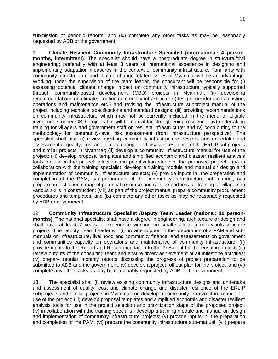submission of periodic reports; and (ix) complete any other tasks as may be reasonably requested by ADB or the government.

11. **Climate Resilient Community Infrastructure Specialist (international: 4 personmonths, intermittent)**. The specialist should have a postgraduate degree in structural/civil engineering; preferably with at least 8 years of international experience in designing and implementing adaptation measures in the context of community infrastructure. Familiarity with community infrastructure and climate change-related issues of Myanmar will be an advantage. Working under the supervision of the team leader, the consultant will be responsible for (i) assessing potential climate change impact on community infrastructure typically supported through community-based development (CBD) projects in Myanmar; (ii) developing recommendations on climate proofing community infrastructure (design considerations, costing, operations and maintenance etc.) and revising the infrastructure subproject manual of the project including technical specifications and standard designs; (iii) providing recommendations on community infrastructure which may not be currently included in the menu of eligible investments under CBD projects but will be critical for strengthening resilience; (iv) undertaking training for villagers and government staff on resilient infrastructure; and (v) contributing to the methodology for community-level risk assessment (from infrastructure perspective). The specialist shall also (i) review existing community infrastructure designs and undertake and assessment of quality, cost and climate change and disaster resilience of the ERLIP subprojects and similar projects in Myanmar; (ii) develop a community infrastructure manual for use of the project; (iii) develop proposal templates and simplified economic and disaster resilient analysis tools for use in the project selection and prioritization stage of the proposed project; (iv) in collaboration with the training specialist, develop a training module and manual on design and implementation of community infrastructure projects; (v) provide inputs in the preparation and completion of the PAM; (vi) preparation of the community infrastructure sub-manual; (vii) prepare an institutional map of potential resource and service partners for training of villagers in various skills in construction; (viii) as part of the project manual prepare community procurement procedures and templates, and (ix) complete any other tasks as may be reasonably requested by ADB or government.

12. **Community Infrastructure Specialist /Deputy Team Leader (national: 10 personmonths)**. The national specialist shall have a degree in engineering, architecture or design and shall have at least 7 years of experience working on small-scale community infrastructure projects. The Deputy Team Leader will (i) provide support in the preparation of a PAM and submanuals on infrastructure, livelihood and community finance, and assessments on government and communities capacity on operations and maintenance of community infrastructure; (ii) provide inputs to the Report and Recommendation to the President for the ensuing project; (iii) review outputs of the consulting team and ensure timely achievement of all milestone activities; (iv) prepare regular monthly reports discussing the progress of project preparation to be submitted to ADB and the government; (v) develop a project roll out plan for the project, and (vi) complete any other tasks as may be reasonably requested by ADB or the government.

13. The specialist shall (i) review existing community infrastructure designs and undertake and assessment of quality, cost and climate change and disaster resilience of the ERLIP subprojects and similar projects in Myanmar; (ii) develop a community infrastructure manual for use of the project; (iii) develop proposal templates and simplified economic and disaster resilient analysis tools for use in the project selection and prioritization stage of the proposed project; (iv) in collaboration with the training specialist, develop a training module and manual on design and implementation of community infrastructure projects; (v) provide inputs in the preparation and completion of the PAM; (vi) prepare the community infrastructure sub-manual; (vii) prepare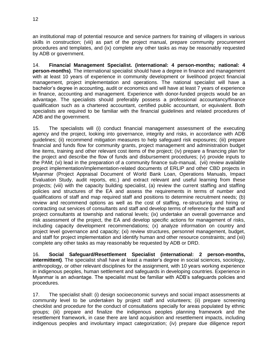an institutional map of potential resource and service partners for training of villagers in various skills in construction; (viii) as part of the project manual, prepare community procurement procedures and templates, and (ix) complete any other tasks as may be reasonably requested by ADB or government.

14. **Financial Management Specialist. (international: 4 person-months; national: 4 person-months)**. The international specialist should have a degree in finance and management with at least 10 years of experience in community development or livelihood project financial management, project implementation and operations. The national specialist will have a bachelor's degree in accounting, audit or economics and will have at least 7 years of experience in finance, accounting and management. Experience with donor-funded projects would be an advantage. The specialists should preferably possess a professional accountancy/finance qualification such as a chartered accountant, certified public accountant, or equivalent. Both specialists are required to be familiar with the financial guidelines and related procedures of ADB and the government.

15. The specialists will (i) conduct financial management assessment of the executing agency and the project, looking into governance, integrity and risks, in accordance with ADB guidelines; (ii) recommend mitigation measures to help safeguard risk exposures; (iii) prepare financial and funds flow for community grants, project management and administration budget line items, training and other relevant cost items of the project; (iv) prepare a financing plan for the project and describe the flow of funds and disbursement procedures; (v) provide inputs to the PAM; (vi) lead in the preparation of a community finance sub-manual, (vii) review available project implementation/implementation-related documents of ERLIP and other CBD projects in Myanmar (Project Appraisal Document of World Bank Loan, Operations Manuals, Impact Evaluation Study, audit reports, etc.) and extract relevant and useful learning from these projects; (viii) with the capacity building specialist, (a) review the current staffing and staffing policies and structures of the EA and assess the requirements in terms of number and qualifications of staff and map required staff and positions to determine recruitment needs; (b) review and recommend options as well as the cost of staffing, re-structuring and hiring or contracting out services of consultants and staff and develop terms of reference for the staff and project consultants at township and national levels; (ix) undertake an overall governance and risk assessment of the project, the EA and develop specific actions for management of risks, including capacity development recommendations; (x) analyze information on country and project level governance and capacity; (xi) review structures, personnel management, budget, and staff for project implementation and identify human and other resource constraints; and (xii) complete any other tasks as may reasonably be requested by ADB or DRD.

16. **Social Safeguard/Resettlement Specialist (international: 2 person-months, intermittent)**. The specialist shall have at least a master's degree in social sciences, sociology, anthropology, or other relevant disciplines for the assignment, with 10 years working experience in indigenous peoples, human settlement and safeguards in developing countries. Experience in Myanmar is an advantage. The specialist must be familiar with ADB's safeguards policies and procedures.

17. The specialist shall: (i) design socioeconomic surveys and social impact assessments at community level to be undertaken by project staff and volunteers; (ii) prepare screening checklist and procedure for the conduct of consultations specially for areas populated by ethnic groups; (iii) prepare and finalize the indigenous peoples planning framework and the resettlement framework, in case there are land acquisition and resettlement impacts, including indigenous peoples and involuntary impact categorization; (iv) prepare due diligence report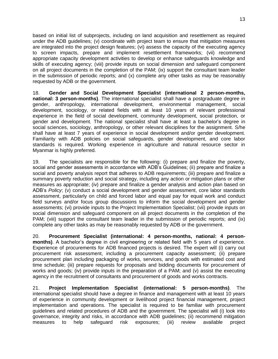based on initial list of subprojects, including on land acquisition and resettlement as required under the ADB guidelines; (v) coordinate with project team to ensure that mitigation measures are integrated into the project design features; (vi) assess the capacity of the executing agency to screen impacts, prepare and implement resettlement frameworks; (vii) recommend appropriate capacity development activities to develop or enhance safeguards knowledge and skills of executing agency; (viii) provide inputs on social dimension and safeguard component on all project documents in the completion of the PAM; (ix) support the consultant team leader in the submission of periodic reports; and (x) complete any other tasks as may be reasonably requested by ADB or the government.

18. **Gender and Social Development Specialist (international 2 person-months, national: 3 person-months)**. The international specialist shall have a postgraduate degree in gender, anthropology, international development, environmental management, social development, sociology, or related fields with at least 10 years of relevant professional experience in the field of social development, community development, social protection, or gender and development. The national specialist shall have at least a bachelor's degree in social sciences, sociology, anthropology, or other relevant disciplines for the assignment. S/he shall have at least 7 years of experience in social development and/or gender development. Familiarity with ADB policies on social safeguards, gender development, and core labor standards is required. Working experience in agriculture and natural resource sector in Myanmar is highly preferred.

19. The specialists are responsible for the following: (i) prepare and finalize the poverty, social and gender assessments in accordance with ADB's Guidelines; (ii) prepare and finalize a social and poverty analysis report that adheres to ADB requirements; (iii) prepare and finalize a summary poverty reduction and social strategy, including any action or mitigation plans or other measures as appropriate; (iv) prepare and finalize a gender analysis and action plan based on ADB's *Policy*; (v) conduct a social development and gender assessment, core labor standards assessment, particularly on child and forced labor and equal pay for equal work and conduct field surveys and/or focus group discussions to inform the social development and gender assessments; (vi) provide inputs to the Project Implementation Specialist; (vii) provide inputs on social dimension and safeguard component on all project documents in the completion of the PAM; (viii) support the consultant team leader in the submission of periodic reports; and (ix) complete any other tasks as may be reasonably requested by ADB or the government.

20. **Procurement Specialist (international: 4 person-months, national: 4 personmonths)**. A bachelor's degree in civil engineering or related field with 5 years of experience. Experience of procurements for ADB financed projects is desired. The expert will (i) carry out procurement risk assessment, including a procurement capacity assessment; (ii) prepare procurement plan including packaging of works, services, and goods with estimated cost and time schedule; (iii) prepare requests for proposals and bidding documents for procurement of works and goods; (iv) provide inputs in the preparation of a PAM; and (v) assist the executing agency in the recruitment of consultants and procurement of goods and works contracts.

21. **Project Implementation Specialist (international: 5 person-months)**. The international specialist should have a degree in finance and management with at least 10 years of experience in community development or livelihood project financial management, project implementation and operations. The specialist is required to be familiar with procurement guidelines and related procedures of ADB and the government. The specialist will (i) look into governance, integrity and risks, in accordance with ADB guidelines; (ii) recommend mitigation measures to help safeguard risk exposures; (iii) review available project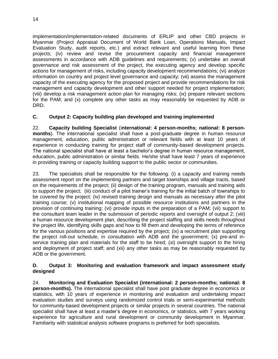14

implementation/implementation-related documents of ERLIP and other CBD projects in Myanmar (Project Appraisal Document of World Bank Loan, Operations Manuals, Impact Evaluation Study, audit reports, etc.) and extract relevant and useful learning from these projects; (iv) review and revise the procurement capacity and financial management assessments in accordance with ADB guidelines and requirements; (v) undertake an overall governance and risk assessment of the project, the executing agency and develop specific actions for management of risks, including capacity development recommendations; (vi) analyze information on country and project level governance and capacity; (vii) assess the management capacity of the executing agency for the proposed project and provide recommendations for risk management and capacity development and other support needed for project implementation; (viii) develop a risk management action plan for managing risks; (ix) prepare relevant sections for the PAM; and (x) complete any other tasks as may reasonably be requested by ADB or DRD.

#### **C. Output 2: Capacity building plan developed and training implemented**

22. **Capacity building Specialist** (i**nternational: 4 person-months; national: 8 personmonths**). The international specialist shall have a post-graduate degree in human resource management, education, public administration or relevant fields with at least 10 years of experience in conducting training for project staff of community-based development projects. The national specialist shall have at least a bachelor's degree in human resource management, education, public administration or similar fields. He/she shall have least 7 years of experience in providing training or capacity building support to the public sector or communities.

23. The specialists shall be responsible for the following: (i) a capacity and training needs assessment report on the implementing partners and target townships and village tracts, based on the requirements of the project; (ii) design of the training program, manuals and training aids to support the project; (iii) conduct of a pilot trainer's training for the initial batch of townships to be covered by the project; (iv) revised training design and manuals as necessary after the pilot training course; (v) institutional mapping of possible resource institutions and partners in the provision of continuing training; (vi) provide inputs in the preparation of a PAM; (vii) support to the consultant team leader in the submission of periodic reports and oversight of output 2; (viii) a human resource development plan, describing the project staffing and skills needs throughout the project life, identifying skills gaps and how to fill them and developing the terms of reference for the various positions and expertise required by the project; (ix) a recruitment plan supporting the project roll-out schedule, in consultation with ADB and the government; (x) pre-and inservice training plan and materials for the staff to be hired; (xi) oversight support to the hiring and deployment of project staff; and (xii) any other tasks as may be reasonably requested by ADB or the government.

#### **D. Output 3: Monitoring and evaluation framework and impact assessment study designed**

24. **Monitoring and Evaluation Specialist (international: 2 person-months; national: 8 person-months).** The international specialist shall have post graduate degree in economics or statistics, with 10 years of experience in monitoring and evaluation and undertaking impact evaluation studies and surveys using randomized control trials or semi-experimental methods for community-based development projects or similar projects in several countries. The national specialist shall have at least a master's degree in economics, or statistics, with 7 years working experience for agriculture and rural development or community development in Myanmar. Familiarity with statistical analysis software programs is preferred for both specialists.